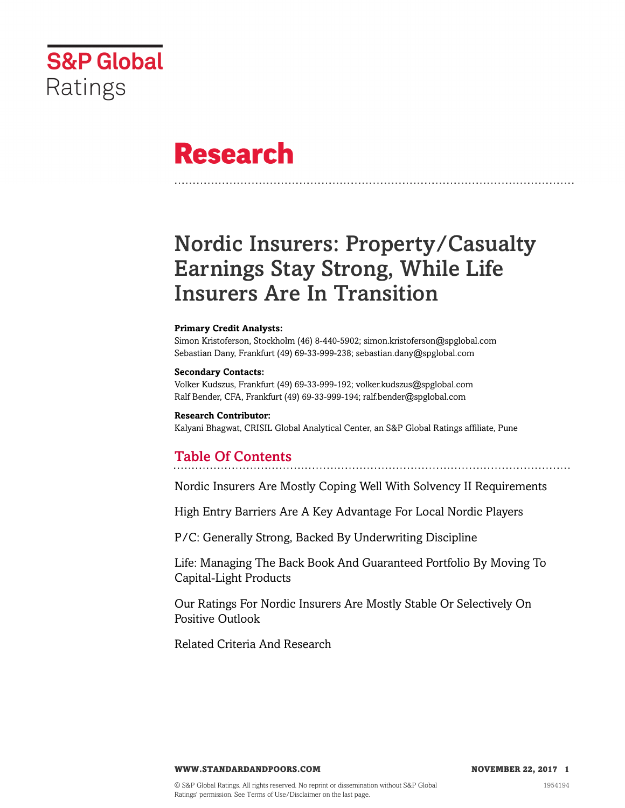

# **Research**

# Nordic Insurers: Property/Casualty Earnings Stay Strong, While Life Insurers Are In Transition

#### **Primary Credit Analysts:**

Simon Kristoferson, Stockholm (46) 8-440-5902; simon.kristoferson@spglobal.com Sebastian Dany, Frankfurt (49) 69-33-999-238; sebastian.dany@spglobal.com

#### **Secondary Contacts:**

Volker Kudszus, Frankfurt (49) 69-33-999-192; volker.kudszus@spglobal.com Ralf Bender, CFA, Frankfurt (49) 69-33-999-194; ralf.bender@spglobal.com

#### **Research Contributor:**

Kalyani Bhagwat, CRISIL Global Analytical Center, an S&P Global Ratings affiliate, Pune

### Table Of Contents

[Nordic Insurers Are Mostly Coping Well With Solvency II Requirements](#page-2-0)

[High Entry Barriers Are A Key Advantage For Local Nordic Players](#page-3-0)

[P/C: Generally Strong, Backed By Underwriting Discipline](#page-5-0)

[Life: Managing The Back Book And Guaranteed Portfolio By Moving To](#page-8-0) [Capital-Light Products](#page-8-0)

[Our Ratings For Nordic Insurers Are Mostly Stable Or Selectively On](#page-10-0) [Positive Outlook](#page-10-0)

[Related Criteria And Research](#page-11-0)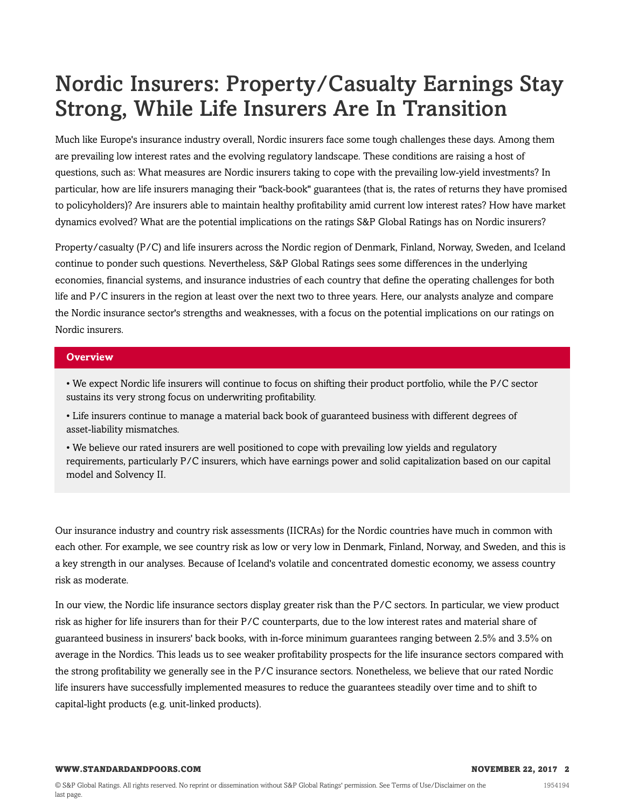# Nordic Insurers: Property/Casualty Earnings Stay Strong, While Life Insurers Are In Transition

Much like Europe's insurance industry overall, Nordic insurers face some tough challenges these days. Among them are prevailing low interest rates and the evolving regulatory landscape. These conditions are raising a host of questions, such as: What measures are Nordic insurers taking to cope with the prevailing low-yield investments? In particular, how are life insurers managing their "back-book" guarantees (that is, the rates of returns they have promised to policyholders)? Are insurers able to maintain healthy profitability amid current low interest rates? How have market dynamics evolved? What are the potential implications on the ratings S&P Global Ratings has on Nordic insurers?

Property/casualty (P/C) and life insurers across the Nordic region of Denmark, Finland, Norway, Sweden, and Iceland continue to ponder such questions. Nevertheless, S&P Global Ratings sees some differences in the underlying economies, financial systems, and insurance industries of each country that define the operating challenges for both life and P/C insurers in the region at least over the next two to three years. Here, our analysts analyze and compare the Nordic insurance sector's strengths and weaknesses, with a focus on the potential implications on our ratings on Nordic insurers.

#### **Overview**

• We expect Nordic life insurers will continue to focus on shifting their product portfolio, while the P/C sector sustains its very strong focus on underwriting profitability.

• Life insurers continue to manage a material back book of guaranteed business with different degrees of asset-liability mismatches.

• We believe our rated insurers are well positioned to cope with prevailing low yields and regulatory requirements, particularly P/C insurers, which have earnings power and solid capitalization based on our capital model and Solvency II.

Our insurance industry and country risk assessments (IICRAs) for the Nordic countries have much in common with each other. For example, we see country risk as low or very low in Denmark, Finland, Norway, and Sweden, and this is a key strength in our analyses. Because of Iceland's volatile and concentrated domestic economy, we assess country risk as moderate.

In our view, the Nordic life insurance sectors display greater risk than the P/C sectors. In particular, we view product risk as higher for life insurers than for their P/C counterparts, due to the low interest rates and material share of guaranteed business in insurers' back books, with in-force minimum guarantees ranging between 2.5% and 3.5% on average in the Nordics. This leads us to see weaker profitability prospects for the life insurance sectors compared with the strong profitability we generally see in the P/C insurance sectors. Nonetheless, we believe that our rated Nordic life insurers have successfully implemented measures to reduce the guarantees steadily over time and to shift to capital-light products (e.g. unit-linked products).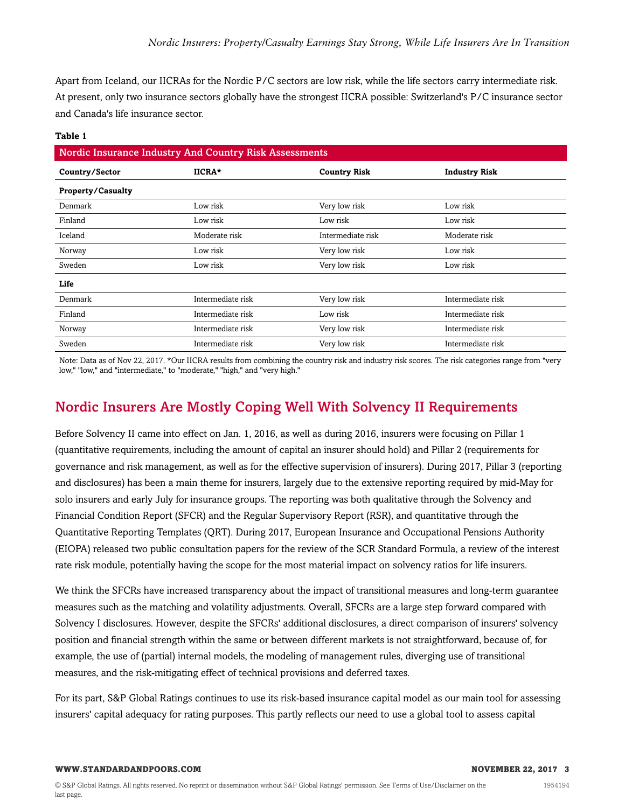Apart from Iceland, our IICRAs for the Nordic P/C sectors are low risk, while the life sectors carry intermediate risk. At present, only two insurance sectors globally have the strongest IICRA possible: Switzerland's P/C insurance sector and Canada's life insurance sector.

| Nordic Insurance Industry And Country Risk Assessments |                   |                     |                      |  |  |
|--------------------------------------------------------|-------------------|---------------------|----------------------|--|--|
| Country/Sector                                         | IICRA*            | <b>Country Risk</b> | <b>Industry Risk</b> |  |  |
| <b>Property/Casualty</b>                               |                   |                     |                      |  |  |
| Denmark                                                | Low risk          | Very low risk       | Low risk             |  |  |
| Finland                                                | Low risk          | Low risk            | Low risk             |  |  |
| Iceland                                                | Moderate risk     | Intermediate risk   | Moderate risk        |  |  |
| Norway                                                 | Low risk          | Very low risk       | Low risk             |  |  |
| Sweden                                                 | Low risk          | Very low risk       | Low risk             |  |  |
| Life                                                   |                   |                     |                      |  |  |
| Denmark                                                | Intermediate risk | Very low risk       | Intermediate risk    |  |  |
| Finland                                                | Intermediate risk | Low risk            | Intermediate risk    |  |  |
| Norway                                                 | Intermediate risk | Very low risk       | Intermediate risk    |  |  |
| Sweden                                                 | Intermediate risk | Very low risk       | Intermediate risk    |  |  |

#### **Table 1**

Note: Data as of Nov 22, 2017. \*Our IICRA results from combining the country risk and industry risk scores. The risk categories range from "very low," "low," and "intermediate," to "moderate," "high," and "very high."

## <span id="page-2-0"></span>Nordic Insurers Are Mostly Coping Well With Solvency II Requirements

Before Solvency II came into effect on Jan. 1, 2016, as well as during 2016, insurers were focusing on Pillar 1 (quantitative requirements, including the amount of capital an insurer should hold) and Pillar 2 (requirements for governance and risk management, as well as for the effective supervision of insurers). During 2017, Pillar 3 (reporting and disclosures) has been a main theme for insurers, largely due to the extensive reporting required by mid-May for solo insurers and early July for insurance groups. The reporting was both qualitative through the Solvency and Financial Condition Report (SFCR) and the Regular Supervisory Report (RSR), and quantitative through the Quantitative Reporting Templates (QRT). During 2017, European Insurance and Occupational Pensions Authority (EIOPA) released two public consultation papers for the review of the SCR Standard Formula, a review of the interest rate risk module, potentially having the scope for the most material impact on solvency ratios for life insurers.

We think the SFCRs have increased transparency about the impact of transitional measures and long-term guarantee measures such as the matching and volatility adjustments. Overall, SFCRs are a large step forward compared with Solvency I disclosures. However, despite the SFCRs' additional disclosures, a direct comparison of insurers' solvency position and financial strength within the same or between different markets is not straightforward, because of, for example, the use of (partial) internal models, the modeling of management rules, diverging use of transitional measures, and the risk-mitigating effect of technical provisions and deferred taxes.

For its part, S&P Global Ratings continues to use its risk-based insurance capital model as our main tool for assessing insurers' capital adequacy for rating purposes. This partly reflects our need to use a global tool to assess capital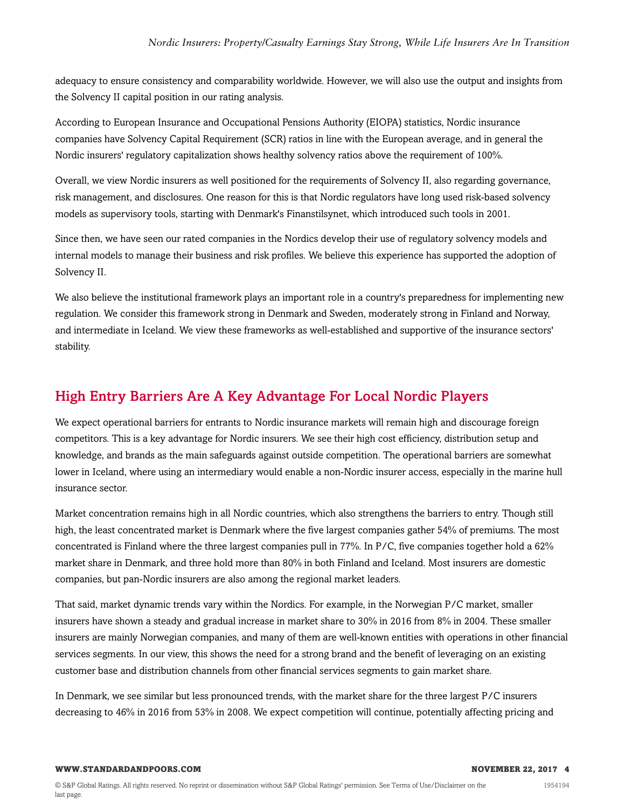adequacy to ensure consistency and comparability worldwide. However, we will also use the output and insights from the Solvency II capital position in our rating analysis.

According to European Insurance and Occupational Pensions Authority (EIOPA) statistics, Nordic insurance companies have Solvency Capital Requirement (SCR) ratios in line with the European average, and in general the Nordic insurers' regulatory capitalization shows healthy solvency ratios above the requirement of 100%.

Overall, we view Nordic insurers as well positioned for the requirements of Solvency II, also regarding governance, risk management, and disclosures. One reason for this is that Nordic regulators have long used risk-based solvency models as supervisory tools, starting with Denmark's Finanstilsynet, which introduced such tools in 2001.

Since then, we have seen our rated companies in the Nordics develop their use of regulatory solvency models and internal models to manage their business and risk profiles. We believe this experience has supported the adoption of Solvency II.

We also believe the institutional framework plays an important role in a country's preparedness for implementing new regulation. We consider this framework strong in Denmark and Sweden, moderately strong in Finland and Norway, and intermediate in Iceland. We view these frameworks as well-established and supportive of the insurance sectors' stability.

### <span id="page-3-0"></span>High Entry Barriers Are A Key Advantage For Local Nordic Players

We expect operational barriers for entrants to Nordic insurance markets will remain high and discourage foreign competitors. This is a key advantage for Nordic insurers. We see their high cost efficiency, distribution setup and knowledge, and brands as the main safeguards against outside competition. The operational barriers are somewhat lower in Iceland, where using an intermediary would enable a non-Nordic insurer access, especially in the marine hull insurance sector.

Market concentration remains high in all Nordic countries, which also strengthens the barriers to entry. Though still high, the least concentrated market is Denmark where the five largest companies gather 54% of premiums. The most concentrated is Finland where the three largest companies pull in 77%. In P/C, five companies together hold a 62% market share in Denmark, and three hold more than 80% in both Finland and Iceland. Most insurers are domestic companies, but pan-Nordic insurers are also among the regional market leaders.

That said, market dynamic trends vary within the Nordics. For example, in the Norwegian P/C market, smaller insurers have shown a steady and gradual increase in market share to 30% in 2016 from 8% in 2004. These smaller insurers are mainly Norwegian companies, and many of them are well-known entities with operations in other financial services segments. In our view, this shows the need for a strong brand and the benefit of leveraging on an existing customer base and distribution channels from other financial services segments to gain market share.

In Denmark, we see similar but less pronounced trends, with the market share for the three largest P/C insurers decreasing to 46% in 2016 from 53% in 2008. We expect competition will continue, potentially affecting pricing and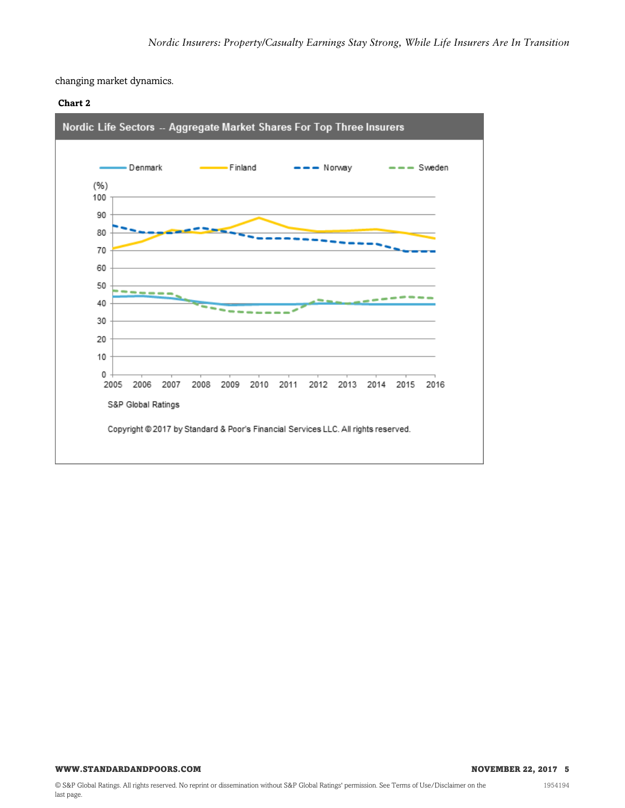changing market dynamics.





1954194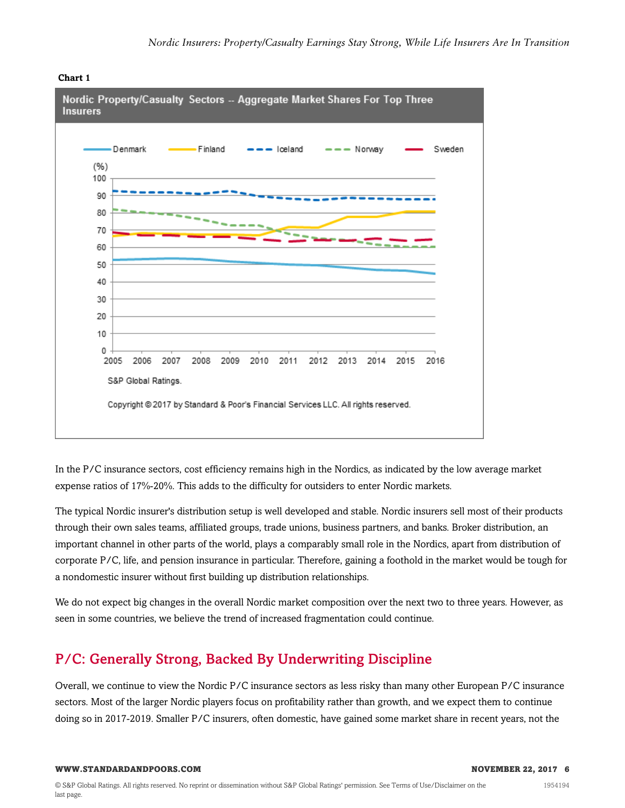

#### **Chart 1**

In the P/C insurance sectors, cost efficiency remains high in the Nordics, as indicated by the low average market expense ratios of 17%-20%. This adds to the difficulty for outsiders to enter Nordic markets.

The typical Nordic insurer's distribution setup is well developed and stable. Nordic insurers sell most of their products through their own sales teams, affiliated groups, trade unions, business partners, and banks. Broker distribution, an important channel in other parts of the world, plays a comparably small role in the Nordics, apart from distribution of corporate P/C, life, and pension insurance in particular. Therefore, gaining a foothold in the market would be tough for a nondomestic insurer without first building up distribution relationships.

We do not expect big changes in the overall Nordic market composition over the next two to three years. However, as seen in some countries, we believe the trend of increased fragmentation could continue.

## <span id="page-5-0"></span>P/C: Generally Strong, Backed By Underwriting Discipline

Overall, we continue to view the Nordic P/C insurance sectors as less risky than many other European P/C insurance sectors. Most of the larger Nordic players focus on profitability rather than growth, and we expect them to continue doing so in 2017-2019. Smaller P/C insurers, often domestic, have gained some market share in recent years, not the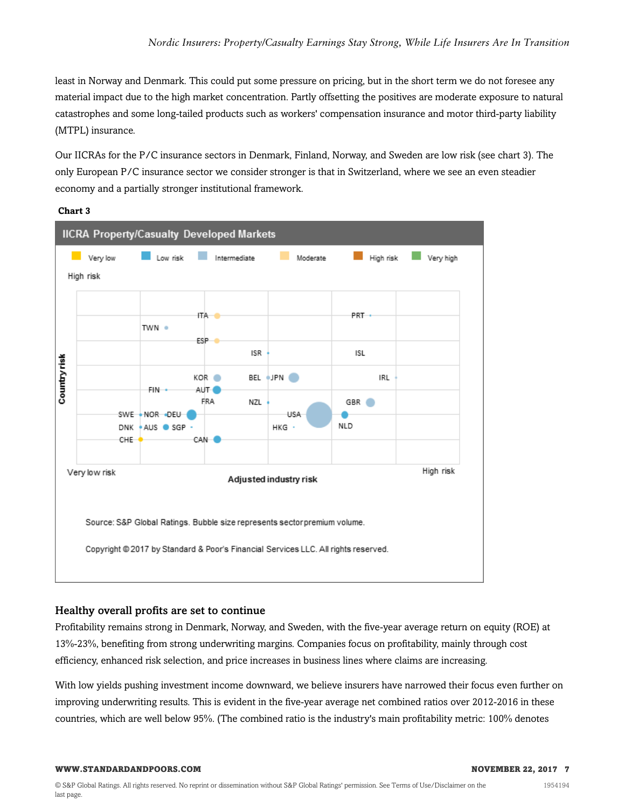least in Norway and Denmark. This could put some pressure on pricing, but in the short term we do not foresee any material impact due to the high market concentration. Partly offsetting the positives are moderate exposure to natural catastrophes and some long-tailed products such as workers' compensation insurance and motor third-party liability (MTPL) insurance.

Our IICRAs for the P/C insurance sectors in Denmark, Finland, Norway, and Sweden are low risk (see chart 3). The only European P/C insurance sector we consider stronger is that in Switzerland, where we see an even steadier economy and a partially stronger institutional framework.





### Healthy overall profits are set to continue

Profitability remains strong in Denmark, Norway, and Sweden, with the five-year average return on equity (ROE) at 13%-23%, benefiting from strong underwriting margins. Companies focus on profitability, mainly through cost efficiency, enhanced risk selection, and price increases in business lines where claims are increasing.

With low yields pushing investment income downward, we believe insurers have narrowed their focus even further on improving underwriting results. This is evident in the five-year average net combined ratios over 2012-2016 in these countries, which are well below 95%. (The combined ratio is the industry's main profitability metric: 100% denotes

#### **WWW.STANDARDANDPOORS.COM AND RESOLUTE A SERVICE ASSESSMENT AND RESOLUTE A SERVICE ASSESSMENT AND RESOLUTE A SERVICE ASSESSMENT AND RESOLUTE A SERVICE ASSESSMENT AND RESOLUTE A SERVICE ASSESSMENT AND RESOLUTE A SERVICE ASS**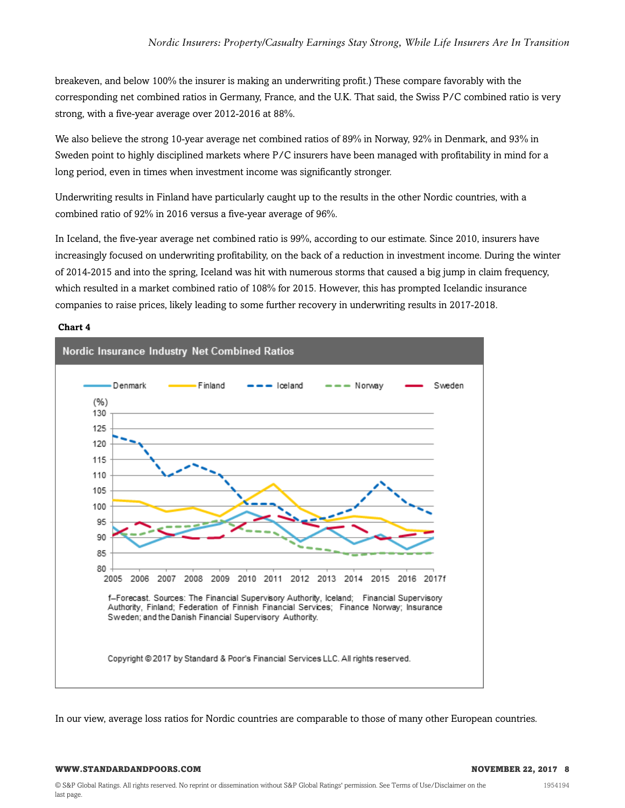breakeven, and below 100% the insurer is making an underwriting profit.) These compare favorably with the corresponding net combined ratios in Germany, France, and the U.K. That said, the Swiss P/C combined ratio is very strong, with a five-year average over 2012-2016 at 88%.

We also believe the strong 10-year average net combined ratios of 89% in Norway, 92% in Denmark, and 93% in Sweden point to highly disciplined markets where P/C insurers have been managed with profitability in mind for a long period, even in times when investment income was significantly stronger.

Underwriting results in Finland have particularly caught up to the results in the other Nordic countries, with a combined ratio of 92% in 2016 versus a five-year average of 96%.

In Iceland, the five-year average net combined ratio is 99%, according to our estimate. Since 2010, insurers have increasingly focused on underwriting profitability, on the back of a reduction in investment income. During the winter of 2014-2015 and into the spring, Iceland was hit with numerous storms that caused a big jump in claim frequency, which resulted in a market combined ratio of 108% for 2015. However, this has prompted Icelandic insurance companies to raise prices, likely leading to some further recovery in underwriting results in 2017-2018.

#### **Chart 4**



In our view, average loss ratios for Nordic countries are comparable to those of many other European countries.

#### **WWW.STANDARDANDPOORS.COM NOVEMBER 22, 2017 8**

1954194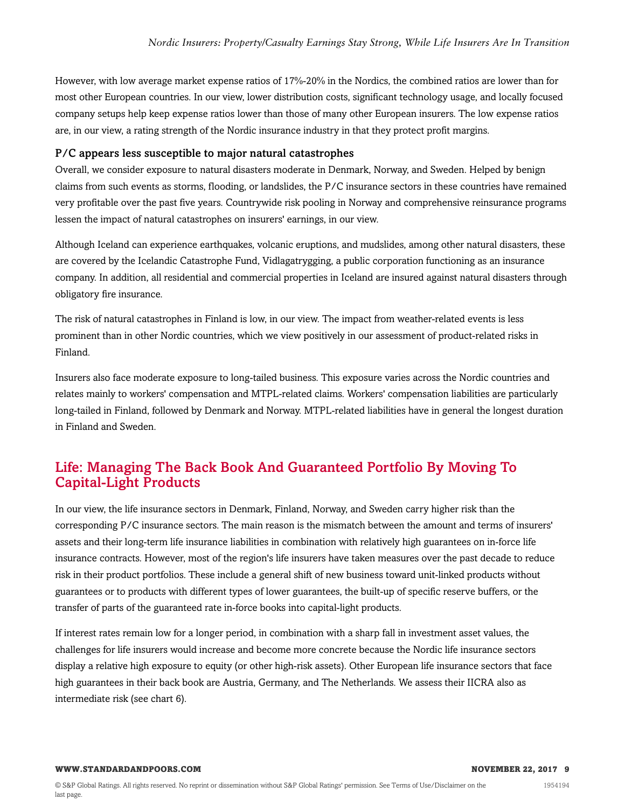However, with low average market expense ratios of 17%-20% in the Nordics, the combined ratios are lower than for most other European countries. In our view, lower distribution costs, significant technology usage, and locally focused company setups help keep expense ratios lower than those of many other European insurers. The low expense ratios are, in our view, a rating strength of the Nordic insurance industry in that they protect profit margins.

#### P/C appears less susceptible to major natural catastrophes

Overall, we consider exposure to natural disasters moderate in Denmark, Norway, and Sweden. Helped by benign claims from such events as storms, flooding, or landslides, the P/C insurance sectors in these countries have remained very profitable over the past five years. Countrywide risk pooling in Norway and comprehensive reinsurance programs lessen the impact of natural catastrophes on insurers' earnings, in our view.

Although Iceland can experience earthquakes, volcanic eruptions, and mudslides, among other natural disasters, these are covered by the Icelandic Catastrophe Fund, Vidlagatrygging, a public corporation functioning as an insurance company. In addition, all residential and commercial properties in Iceland are insured against natural disasters through obligatory fire insurance.

The risk of natural catastrophes in Finland is low, in our view. The impact from weather-related events is less prominent than in other Nordic countries, which we view positively in our assessment of product-related risks in Finland.

Insurers also face moderate exposure to long-tailed business. This exposure varies across the Nordic countries and relates mainly to workers' compensation and MTPL-related claims. Workers' compensation liabilities are particularly long-tailed in Finland, followed by Denmark and Norway. MTPL-related liabilities have in general the longest duration in Finland and Sweden.

### <span id="page-8-0"></span>Life: Managing The Back Book And Guaranteed Portfolio By Moving To Capital-Light Products

In our view, the life insurance sectors in Denmark, Finland, Norway, and Sweden carry higher risk than the corresponding P/C insurance sectors. The main reason is the mismatch between the amount and terms of insurers' assets and their long-term life insurance liabilities in combination with relatively high guarantees on in-force life insurance contracts. However, most of the region's life insurers have taken measures over the past decade to reduce risk in their product portfolios. These include a general shift of new business toward unit-linked products without guarantees or to products with different types of lower guarantees, the built-up of specific reserve buffers, or the transfer of parts of the guaranteed rate in-force books into capital-light products.

If interest rates remain low for a longer period, in combination with a sharp fall in investment asset values, the challenges for life insurers would increase and become more concrete because the Nordic life insurance sectors display a relative high exposure to equity (or other high-risk assets). Other European life insurance sectors that face high guarantees in their back book are Austria, Germany, and The Netherlands. We assess their IICRA also as intermediate risk (see chart 6).

#### **WWW.STANDARDANDPOORS.COM NOVEMBER 22, 2017 9**

1954194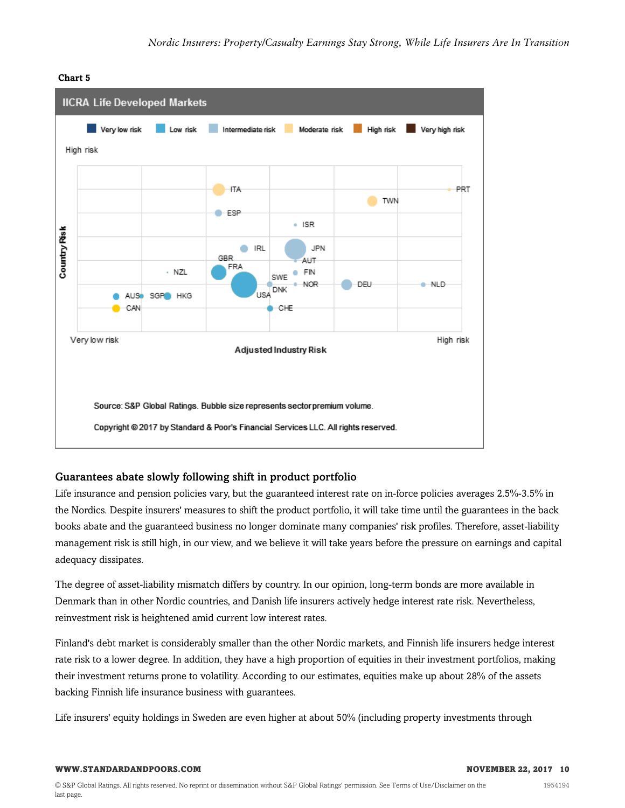

#### **Chart 5**

### Guarantees abate slowly following shift in product portfolio

Life insurance and pension policies vary, but the guaranteed interest rate on in-force policies averages 2.5%-3.5% in the Nordics. Despite insurers' measures to shift the product portfolio, it will take time until the guarantees in the back books abate and the guaranteed business no longer dominate many companies' risk profiles. Therefore, asset-liability management risk is still high, in our view, and we believe it will take years before the pressure on earnings and capital adequacy dissipates.

The degree of asset-liability mismatch differs by country. In our opinion, long-term bonds are more available in Denmark than in other Nordic countries, and Danish life insurers actively hedge interest rate risk. Nevertheless, reinvestment risk is heightened amid current low interest rates.

Finland's debt market is considerably smaller than the other Nordic markets, and Finnish life insurers hedge interest rate risk to a lower degree. In addition, they have a high proportion of equities in their investment portfolios, making their investment returns prone to volatility. According to our estimates, equities make up about 28% of the assets backing Finnish life insurance business with guarantees.

Life insurers' equity holdings in Sweden are even higher at about 50% (including property investments through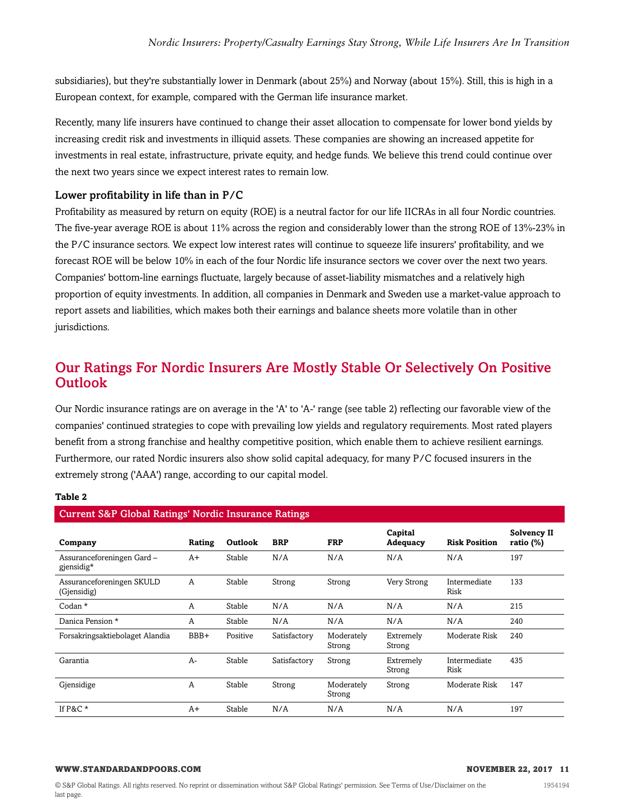subsidiaries), but they're substantially lower in Denmark (about 25%) and Norway (about 15%). Still, this is high in a European context, for example, compared with the German life insurance market.

Recently, many life insurers have continued to change their asset allocation to compensate for lower bond yields by increasing credit risk and investments in illiquid assets. These companies are showing an increased appetite for investments in real estate, infrastructure, private equity, and hedge funds. We believe this trend could continue over the next two years since we expect interest rates to remain low.

### Lower profitability in life than in P/C

Profitability as measured by return on equity (ROE) is a neutral factor for our life IICRAs in all four Nordic countries. The five-year average ROE is about 11% across the region and considerably lower than the strong ROE of 13%-23% in the P/C insurance sectors. We expect low interest rates will continue to squeeze life insurers' profitability, and we forecast ROE will be below 10% in each of the four Nordic life insurance sectors we cover over the next two years. Companies' bottom-line earnings fluctuate, largely because of asset-liability mismatches and a relatively high proportion of equity investments. In addition, all companies in Denmark and Sweden use a market-value approach to report assets and liabilities, which makes both their earnings and balance sheets more volatile than in other jurisdictions.

### <span id="page-10-0"></span>Our Ratings For Nordic Insurers Are Mostly Stable Or Selectively On Positive **Outlook**

Our Nordic insurance ratings are on average in the 'A' to 'A-' range (see table 2) reflecting our favorable view of the companies' continued strategies to cope with prevailing low yields and regulatory requirements. Most rated players benefit from a strong franchise and healthy competitive position, which enable them to achieve resilient earnings. Furthermore, our rated Nordic insurers also show solid capital adequacy, for many P/C focused insurers in the extremely strong ('AAA') range, according to our capital model.

#### **Table 2**

| <b>Current S&amp;P Global Ratings' Nordic Insurance Ratings</b> |        |          |              |                      |                     |                      |                             |  |
|-----------------------------------------------------------------|--------|----------|--------------|----------------------|---------------------|----------------------|-----------------------------|--|
| Company                                                         | Rating | Outlook  | <b>BRP</b>   | <b>FRP</b>           | Capital<br>Adequacy | <b>Risk Position</b> | Solvency II<br>ratio $(\%)$ |  |
| Assuranceforeningen Gard-<br>gjensidig*                         | $A+$   | Stable   | N/A          | N/A                  | N/A                 | N/A                  | 197                         |  |
| Assuranceforeningen SKULD<br>(Gjensidig)                        | A      | Stable   | Strong       | Strong               | Very Strong         | Intermediate<br>Risk | 133                         |  |
| Codan $*$                                                       | A      | Stable   | N/A          | N/A                  | N/A                 | N/A                  | 215                         |  |
| Danica Pension *                                                | A      | Stable   | N/A          | N/A                  | N/A                 | N/A                  | 240                         |  |
| Forsakringsaktiebolaget Alandia                                 | BBB+   | Positive | Satisfactory | Moderately<br>Strong | Extremely<br>Strong | Moderate Risk        | 240                         |  |
| Garantia                                                        | $A-$   | Stable   | Satisfactory | Strong               | Extremely<br>Strong | Intermediate<br>Risk | 435                         |  |
| Gjensidige                                                      | A      | Stable   | Strong       | Moderately<br>Strong | Strong              | Moderate Risk        | 147                         |  |
| If $P&C^*$                                                      | $A+$   | Stable   | N/A          | N/A                  | N/A                 | N/A                  | 197                         |  |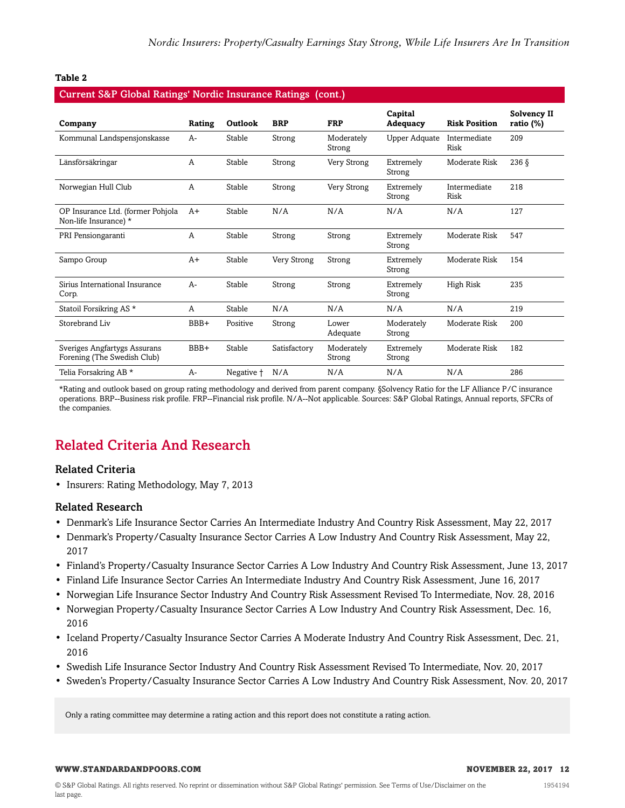#### **Table 2**

| <b>Current S&amp;P Global Ratings' Nordic Insurance Ratings (cont.)</b> |        |            |              |                      |                            |                      |                                    |  |
|-------------------------------------------------------------------------|--------|------------|--------------|----------------------|----------------------------|----------------------|------------------------------------|--|
| Company                                                                 | Rating | Outlook    | <b>BRP</b>   | <b>FRP</b>           | Capital<br><b>Adequacy</b> | <b>Risk Position</b> | <b>Solvency II</b><br>ratio $(\%)$ |  |
| Kommunal Landspensjonskasse                                             | A-     | Stable     | Strong       | Moderately<br>Strong | Upper Adquate              | Intermediate<br>Risk | 209                                |  |
| Länsförsäkringar                                                        | A      | Stable     | Strong       | Very Strong          | Extremely<br>Strong        | Moderate Risk        | $236 \S$                           |  |
| Norwegian Hull Club                                                     | A      | Stable     | Strong       | Very Strong          | Extremely<br>Strong        | Intermediate<br>Risk | 218                                |  |
| OP Insurance Ltd. (former Pohjola<br>Non-life Insurance) *              | A+     | Stable     | N/A          | N/A                  | N/A                        | N/A                  | 127                                |  |
| PRI Pensiongaranti                                                      | A      | Stable     | Strong       | Strong               | Extremely<br>Strong        | Moderate Risk        | 547                                |  |
| Sampo Group                                                             | $A+$   | Stable     | Very Strong  | Strong               | Extremely<br>Strong        | Moderate Risk        | 154                                |  |
| Sirius International Insurance<br>Corp.                                 | $A -$  | Stable     | Strong       | Strong               | Extremely<br>Strong        | High Risk            | 235                                |  |
| Statoil Forsikring AS <sup>*</sup>                                      | A      | Stable     | N/A          | N/A                  | N/A                        | N/A                  | 219                                |  |
| Storebrand Liv                                                          | BBB+   | Positive   | Strong       | Lower<br>Adequate    | Moderately<br>Strong       | Moderate Risk        | 200                                |  |
| Sveriges Angfartygs Assurans<br>Forening (The Swedish Club)             | BBB+   | Stable     | Satisfactory | Moderately<br>Strong | Extremely<br>Strong        | Moderate Risk        | 182                                |  |
| Telia Forsakring AB *                                                   | A-     | Negative + | N/A          | N/A                  | N/A                        | N/A                  | 286                                |  |

\*Rating and outlook based on group rating methodology and derived from parent company. §Solvency Ratio for the LF Alliance P/C insurance operations. BRP--Business risk profile. FRP--Financial risk profile. N/A--Not applicable. Sources: S&P Global Ratings, Annual reports, SFCRs of the companies.

## <span id="page-11-0"></span>Related Criteria And Research

#### Related Criteria

• Insurers: Rating Methodology, May 7, 2013

#### Related Research

- Denmark's Life Insurance Sector Carries An Intermediate Industry And Country Risk Assessment, May 22, 2017
- Denmark's Property/Casualty Insurance Sector Carries A Low Industry And Country Risk Assessment, May 22, 2017
- Finland's Property/Casualty Insurance Sector Carries A Low Industry And Country Risk Assessment, June 13, 2017
- Finland Life Insurance Sector Carries An Intermediate Industry And Country Risk Assessment, June 16, 2017
- Norwegian Life Insurance Sector Industry And Country Risk Assessment Revised To Intermediate, Nov. 28, 2016
- Norwegian Property/Casualty Insurance Sector Carries A Low Industry And Country Risk Assessment, Dec. 16, 2016
- Iceland Property/Casualty Insurance Sector Carries A Moderate Industry And Country Risk Assessment, Dec. 21, 2016
- Swedish Life Insurance Sector Industry And Country Risk Assessment Revised To Intermediate, Nov. 20, 2017
- Sweden's Property/Casualty Insurance Sector Carries A Low Industry And Country Risk Assessment, Nov. 20, 2017

Only a rating committee may determine a rating action and this report does not constitute a rating action.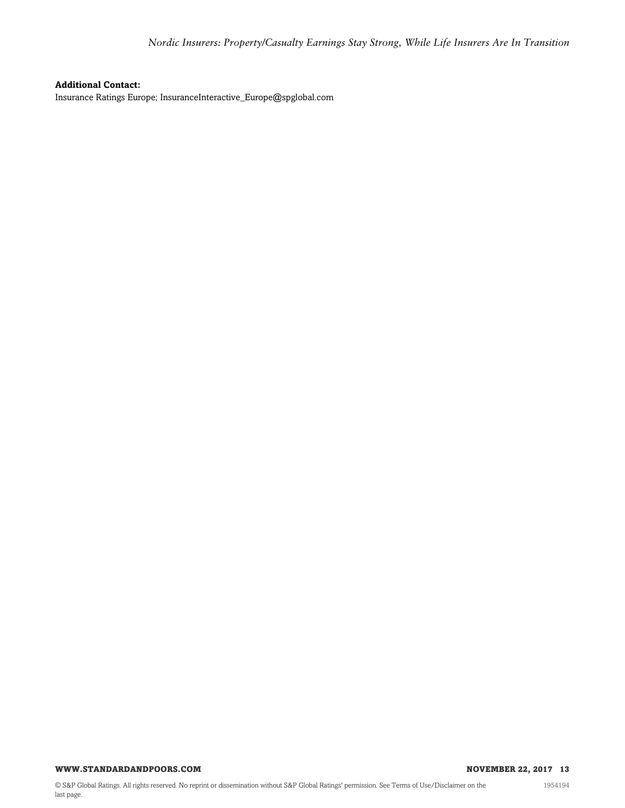#### **Additional Contact:**

Insurance Ratings Europe; InsuranceInteractive\_Europe@spglobal.com